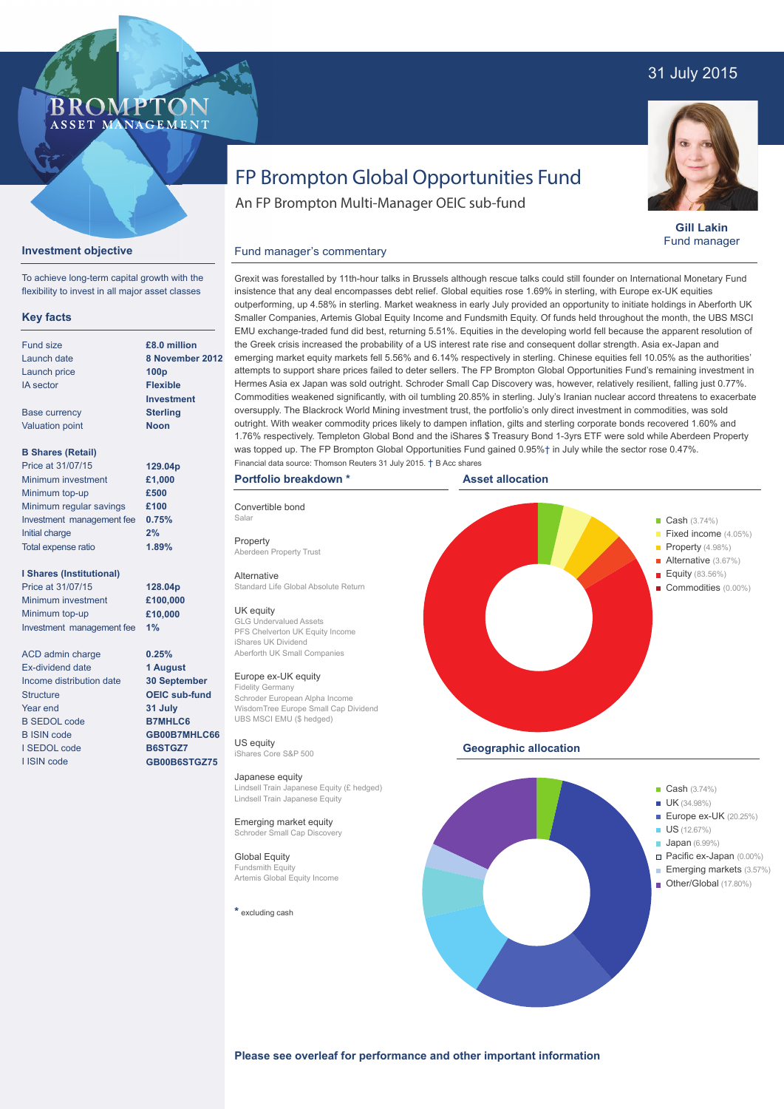# 31 July 2015



**Gill Lakin** Fund manager

# FP Brompton Global Opportunities Fund

An FP Brompton Multi-Manager OEIC sub-fund

# **Investment objective**

**BROMP** 

ASSET MANAGEMENT

To achieve long-term capital growth with the flexibility to invest in all major asset classes

## **Key facts**

| £8.0 milli<br>8 Novem<br>100 <sub>p</sub> |
|-------------------------------------------|
|                                           |
|                                           |
|                                           |
| <b>Flexible</b>                           |
| Investme                                  |
| <b>Sterling</b>                           |
| <b>Noon</b>                               |
|                                           |
| 129.04p                                   |
| £1.000                                    |
| £500                                      |
| £100                                      |
| 0.75%                                     |
| 2%                                        |
|                                           |

#### **I Shares (Institutional)**

Total expense ratio

Price at 31/07/15 Minimum investment Minimum top-up Investment management fee

ACD admin charge Ex-dividend date Income distribution date **Structure** Year end B SEDOL code B ISIN code I SEDOL code I ISIN code

 $\overline{\mathbf{a}}$ **ber 2012 Investment**

**1.89%**

**128.04p £100,000 £10,000 1%**

**0.25% 1 August 30 September OEIC sub-fund 31 July B7MHLC6 GB00B7MHLC66 B6STGZ7 GB00B6STGZ75**

Grexit was forestalled by 11th-hour talks in Brussels although rescue talks could still founder on International Monetary Fund insistence that any deal encompasses debt relief. Global equities rose 1.69% in sterling, with Europe ex-UK equities outperforming, up 4.58% in sterling. Market weakness in early July provided an opportunity to initiate holdings in Aberforth UK Smaller Companies, Artemis Global Equity Income and Fundsmith Equity. Of funds held throughout the month, the UBS MSCI EMU exchange-traded fund did best, returning 5.51%. Equities in the developing world fell because the apparent resolution of the Greek crisis increased the probability of a US interest rate rise and consequent dollar strength. Asia ex-Japan and emerging market equity markets fell 5.56% and 6.14% respectively in sterling. Chinese equities fell 10.05% as the authorities' attempts to support share prices failed to deter sellers. The FP Brompton Global Opportunities Fund's remaining investment in Hermes Asia ex Japan was sold outright. Schroder Small Cap Discovery was, however, relatively resilient, falling just 0.77%. Commodities weakened significantly, with oil tumbling 20.85% in sterling. July's Iranian nuclear accord threatens to exacerbate oversupply. The Blackrock World Mining investment trust, the portfolio's only direct investment in commodities, was sold outright. With weaker commodity prices likely to dampen inflation, gilts and sterling corporate bonds recovered 1.60% and 1.76% respectively. Templeton Global Bond and the iShares \$ Treasury Bond 1-3yrs ETF were sold while Aberdeen Property was topped up. The FP Brompton Global Opportunities Fund gained 0.95%† in July while the sector rose 0.47%. Financial data source: Thomson Reuters 31 July 2015. † B Acc shares

### **Portfolio breakdown \***

Fund manager's commentary

Salar Property Aberdeen Property Trust

Convertible bond

**Alternative** Standard Life Global Absolute Return

### UK equity

GLG Undervalued Assets PFS Chelverton UK Equity Income iShares UK Dividend Aberforth UK Small Companies

#### Europe ex-UK equity

Fidelity Germany Schroder European Alpha Income WisdomTree Europe Small Cap Dividend UBS MSCI EMU (\$ hedged)

US equity iShares Core S&P 500

#### Japanese equity Lindsell Train Japanese Equity (£ hedged) Lindsell Train Japanese Equity

Emerging market equity Schroder Small Cap Discovery

Global Equity Fundsmith Equit Artemis Global Equity Income

**\*** excluding cash



- **Japan** (6.99%)
- Pacific ex-Japan (0.00%)
- **Emerging markets (3.57%)**
- Other/Global (17.80%)

**Please see overleaf for performance and other important information**